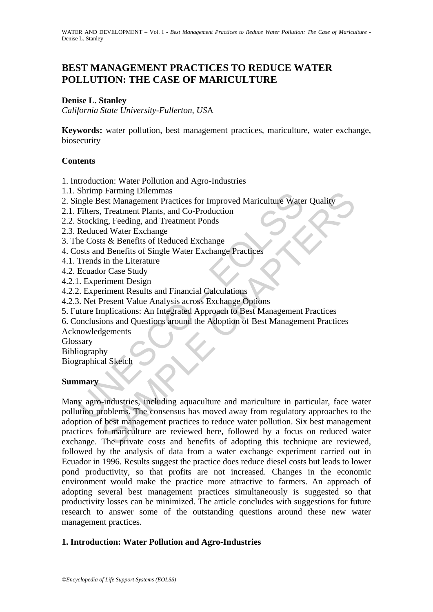WATER AND DEVELOPMENT – Vol. I - *Best Management Practices to Reduce Water Pollution: The Case of Mariculture* -Denise L. Stanley

# **BEST MANAGEMENT PRACTICES TO REDUCE WATER POLLUTION: THE CASE OF MARICULTURE**

### **Denise L. Stanley**

*California State University-Fullerton, US*A

**Keywords:** water pollution, best management practices, mariculture, water exchange, biosecurity

### **Contents**

1. Introduction: Water Pollution and Agro-Industries

- 1.1. Shrimp Farming Dilemmas
- 2. Single Best Management Practices for Improved Mariculture Water Quality
- 2.1. Filters, Treatment Plants, and Co-Production
- 2.2. Stocking, Feeding, and Treatment Ponds
- 2.3. Reduced Water Exchange
- 3. The Costs & Benefits of Reduced Exchange
- 4. Costs and Benefits of Single Water Exchange Practices
- 4.1. Trends in the Literature
- 4.2. Ecuador Case Study
- 4.2.1. Experiment Design
- 4.2.2. Experiment Results and Financial Calculations
- 4.2.3. Net Present Value Analysis across Exchange Options
- 5. Future Implications: An Integrated Approach to Best Management Practices
- 6. Conclusions and Questions around the Adoption of Best Management Practices

Acknowledgements

Glossary

Bibliography

Biographical Sketch

#### **Summary**

Similar Paramig Dieninias<br>
ingle Best Management Practices for Improved Mariculture Water<br>
ingle Best Management Practices for Improved Mariculture Water<br>
Filters, Treatment Plants, and Co-Production<br>
Stecking, Feeding, an Continue Different Maria Control Mariculture Water Quality<br>
The Contraction of Tractment Plants, and Co-Production<br>
mg, Feeding, and Treatment Ponds<br>
ts & Benefits of Reduced Exchange<br>
d Benefits of Reduced Exchange<br>
d Ben Many agro-industries, including aquaculture and mariculture in particular, face water pollution problems. The consensus has moved away from regulatory approaches to the adoption of best management practices to reduce water pollution. Six best management practices for mariculture are reviewed here, followed by a focus on reduced water exchange. The private costs and benefits of adopting this technique are reviewed, followed by the analysis of data from a water exchange experiment carried out in Ecuador in 1996. Results suggest the practice does reduce diesel costs but leads to lower pond productivity, so that profits are not increased. Changes in the economic environment would make the practice more attractive to farmers. An approach of adopting several best management practices simultaneously is suggested so that productivity losses can be minimized. The article concludes with suggestions for future research to answer some of the outstanding questions around these new water management practices.

#### **1. Introduction: Water Pollution and Agro-Industries**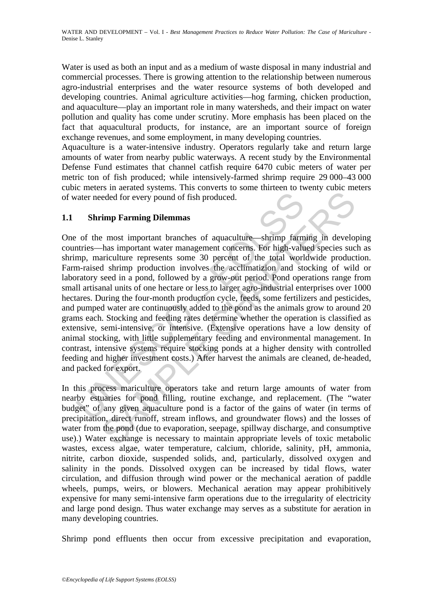Water is used as both an input and as a medium of waste disposal in many industrial and commercial processes. There is growing attention to the relationship between numerous agro-industrial enterprises and the water resource systems of both developed and developing countries. Animal agriculture activities—hog farming, chicken production, and aquaculture—play an important role in many watersheds, and their impact on water pollution and quality has come under scrutiny. More emphasis has been placed on the fact that aquacultural products, for instance, are an important source of foreign exchange revenues, and some employment, in many developing countries.

Aquaculture is a water-intensive industry. Operators regularly take and return large amounts of water from nearby public waterways. A recent study by the Environmental Defense Fund estimates that channel catfish require 6470 cubic meters of water per metric ton of fish produced; while intensively-farmed shrimp require 29 000–43 000 cubic meters in aerated systems. This converts to some thirteen to twenty cubic meters of water needed for every pound of fish produced.

## **1.1 Shrimp Farming Dilemmas**

vater needed for every pound of fish produced.<br> **Shrimp Farming Dilemmas**<br>
of the most important branches of aquaculture—shrimp farm<br>
or the most important water management concerns. For high-value<br>
mp, mariculture represe ended for every pound of fish produced.<br> **Example Tarming Dilemmas**<br> **Example Tarming Dilemmas**<br> **Example Tarming Dilemmas**<br> **Example Tarming Dilemmas**<br> **Example Tarming Dilemmas**<br> **Example Tarming Production** that the tot One of the most important branches of aquaculture—shrimp farming in developing countries—has important water management concerns. For high-valued species such as shrimp, mariculture represents some 30 percent of the total worldwide production. Farm-raised shrimp production involves the acclimatizion and stocking of wild or laboratory seed in a pond, followed by a grow-out period. Pond operations range from small artisanal units of one hectare or less to larger agro-industrial enterprises over 1000 hectares. During the four-month production cycle, feeds, some fertilizers and pesticides, and pumped water are continuously added to the pond as the animals grow to around 20 grams each. Stocking and feeding rates determine whether the operation is classified as extensive, semi-intensive, or intensive. (Extensive operations have a low density of animal stocking, with little supplementary feeding and environmental management. In contrast, intensive systems require stocking ponds at a higher density with controlled feeding and higher investment costs.) After harvest the animals are cleaned, de-headed, and packed for export.

In this process mariculture operators take and return large amounts of water from nearby estuaries for pond filling, routine exchange, and replacement. (The "water budget" of any given aquaculture pond is a factor of the gains of water (in terms of precipitation, direct runoff, stream inflows, and groundwater flows) and the losses of water from the pond (due to evaporation, seepage, spillway discharge, and consumptive use).) Water exchange is necessary to maintain appropriate levels of toxic metabolic wastes, excess algae, water temperature, calcium, chloride, salinity, pH, ammonia, nitrite, carbon dioxide, suspended solids, and, particularly, dissolved oxygen and salinity in the ponds. Dissolved oxygen can be increased by tidal flows, water circulation, and diffusion through wind power or the mechanical aeration of paddle wheels, pumps, weirs, or blowers. Mechanical aeration may appear prohibitively expensive for many semi-intensive farm operations due to the irregularity of electricity and large pond design. Thus water exchange may serves as a substitute for aeration in many developing countries.

Shrimp pond effluents then occur from excessive precipitation and evaporation,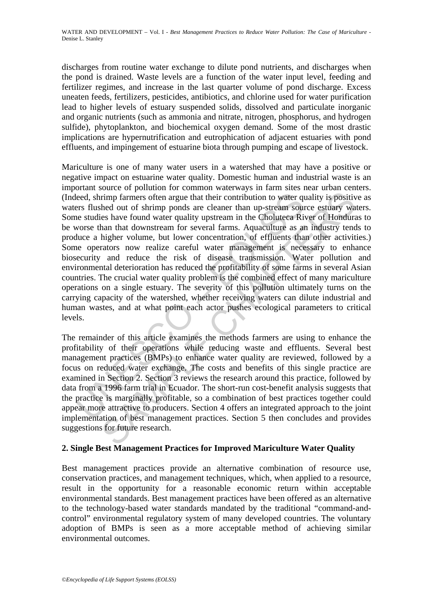discharges from routine water exchange to dilute pond nutrients, and discharges when the pond is drained. Waste levels are a function of the water input level, feeding and fertilizer regimes, and increase in the last quarter volume of pond discharge. Excess uneaten feeds, fertilizers, pesticides, antibiotics, and chlorine used for water purification lead to higher levels of estuary suspended solids, dissolved and particulate inorganic and organic nutrients (such as ammonia and nitrate, nitrogen, phosphorus, and hydrogen sulfide), phytoplankton, and biochemical oxygen demand. Some of the most drastic implications are hypernutrification and eutrophication of adjacent estuaries with pond effluents, and impingement of estuarine biota through pumping and escape of livestock.

leed, shrimp farmers often argue that their contribution to water quest effers flushed out of shrimp ponds are cleaner than up-stream source usualities have found water quality upstream in the Cholutecea Rif worse than tha rimp farmers often argue that their contribution to water quality is positively eining farmers often argue that their contribution to water quality is positively obthed out of shrimp ponds are cleaner than up-stream source Mariculture is one of many water users in a watershed that may have a positive or negative impact on estuarine water quality. Domestic human and industrial waste is an important source of pollution for common waterways in farm sites near urban centers. (Indeed, shrimp farmers often argue that their contribution to water quality is positive as waters flushed out of shrimp ponds are cleaner than up-stream source estuary waters. Some studies have found water quality upstream in the Choluteca River of Honduras to be worse than that downstream for several farms. Aquaculture as an industry tends to produce a higher volume, but lower concentration, of effluents than other activities.) Some operators now realize careful water management is necessary to enhance biosecurity and reduce the risk of disease transmission. Water pollution and environmental deterioration has reduced the profitability of some farms in several Asian countries. The crucial water quality problem is the combined effect of many mariculture operations on a single estuary. The severity of this pollution ultimately turns on the carrying capacity of the watershed, whether receiving waters can dilute industrial and human wastes, and at what point each actor pushes ecological parameters to critical levels.

The remainder of this article examines the methods farmers are using to enhance the profitability of their operations while reducing waste and effluents. Several best management practices (BMPs) to enhance water quality are reviewed, followed by a focus on reduced water exchange. The costs and benefits of this single practice are examined in Section 2. Section 3 reviews the research around this practice, followed by data from a 1996 farm trial in Ecuador. The short-run cost-benefit analysis suggests that the practice is marginally profitable, so a combination of best practices together could appear more attractive to producers. Section 4 offers an integrated approach to the joint implementation of best management practices. Section 5 then concludes and provides suggestions for future research.

## **2. Single Best Management Practices for Improved Mariculture Water Quality**

Best management practices provide an alternative combination of resource use, conservation practices, and management techniques, which, when applied to a resource, result in the opportunity for a reasonable economic return within acceptable environmental standards. Best management practices have been offered as an alternative to the technology-based water standards mandated by the traditional "command-andcontrol" environmental regulatory system of many developed countries. The voluntary adoption of BMPs is seen as a more acceptable method of achieving similar environmental outcomes.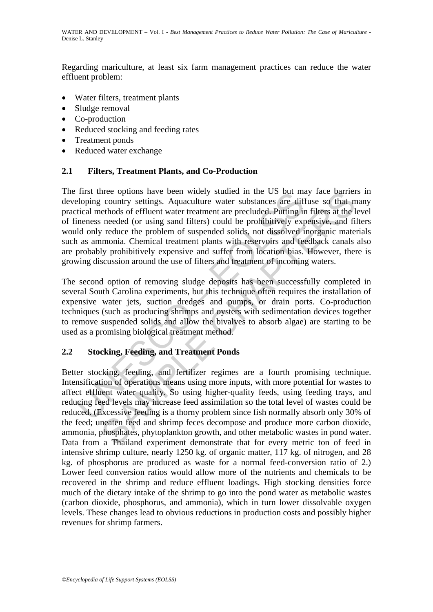Regarding mariculture, at least six farm management practices can reduce the water effluent problem:

- Water filters, treatment plants
- Sludge removal
- Co-production
- Reduced stocking and feeding rates
- Treatment ponds
- Reduced water exchange

## **2.1 Filters, Treatment Plants, and Co-Production**

Instructure options have been widely studied in the US but may<br>eloping country settings. Aquaculture water substances are different<br>extracted methods of effluent water treatment are precluded. Putting in<br>ineness needed (or The first three options have been widely studied in the US but may face barriers in developing country settings. Aquaculture water substances are diffuse so that many practical methods of effluent water treatment are precluded. Putting in filters at the level of fineness needed (or using sand filters) could be prohibitively expensive, and filters would only reduce the problem of suspended solids, not dissolved inorganic materials such as ammonia. Chemical treatment plants with reservoirs and feedback canals also are probably prohibitively expensive and suffer from location bias. However, there is growing discussion around the use of filters and treatment of incoming waters.

The second option of removing sludge deposits has been successfully completed in several South Carolina experiments, but this technique often requires the installation of expensive water jets, suction dredges and pumps, or drain ports. Co-production techniques (such as producing shrimps and oysters with sedimentation devices together to remove suspended solids and allow the bivalves to absorb algae) are starting to be used as a promising biological treatment method.

## **2.2 Stocking, Feeding, and Treatment Ponds**

Transmission and the US but may take barentree options have been worked as the country settings. Aquaculture water substances are diffuse so that needed (or using sand filters) could be prohibitively expensive, and fi redu Better stocking, feeding, and fertilizer regimes are a fourth promising technique. Intensification of operations means using more inputs, with more potential for wastes to affect effluent water quality. So using higher-quality feeds, using feeding trays, and reducing feed levels may increase feed assimilation so the total level of wastes could be reduced. (Excessive feeding is a thorny problem since fish normally absorb only 30% of the feed; uneaten feed and shrimp feces decompose and produce more carbon dioxide, ammonia, phosphates, phytoplankton growth, and other metabolic wastes in pond water. Data from a Thailand experiment demonstrate that for every metric ton of feed in intensive shrimp culture, nearly 1250 kg. of organic matter, 117 kg. of nitrogen, and 28 kg. of phosphorus are produced as waste for a normal feed-conversion ratio of 2.) Lower feed conversion ratios would allow more of the nutrients and chemicals to be recovered in the shrimp and reduce effluent loadings. High stocking densities force much of the dietary intake of the shrimp to go into the pond water as metabolic wastes (carbon dioxide, phosphorus, and ammonia), which in turn lower dissolvable oxygen levels. These changes lead to obvious reductions in production costs and possibly higher revenues for shrimp farmers.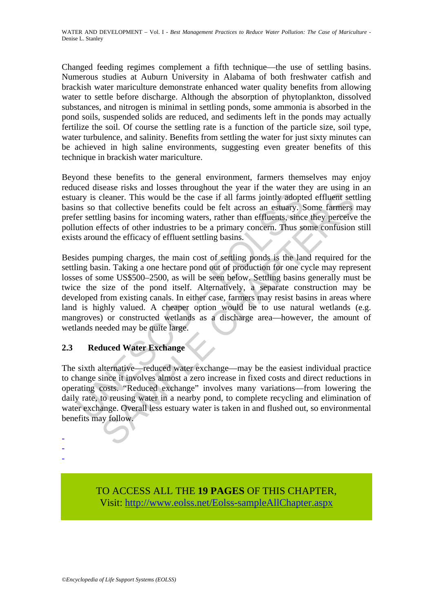Changed feeding regimes complement a fifth technique—the use of settling basins. Numerous studies at Auburn University in Alabama of both freshwater catfish and brackish water mariculture demonstrate enhanced water quality benefits from allowing water to settle before discharge. Although the absorption of phytoplankton, dissolved substances, and nitrogen is minimal in settling ponds, some ammonia is absorbed in the pond soils, suspended solids are reduced, and sediments left in the ponds may actually fertilize the soil. Of course the settling rate is a function of the particle size, soil type, water turbulence, and salinity. Benefits from settling the water for just sixty minutes can be achieved in high saline environments, suggesting even greater benefits of this technique in brackish water mariculture.

Beyond these benefits to the general environment, farmers themselves may enjoy reduced disease risks and losses throughout the year if the water they are using in an estuary is cleaner. This would be the case if all farms jointly adopted effluent settling basins so that collective benefits could be felt across an estuary. Some farmers may prefer settling basins for incoming waters, rather than effluents, since they perceive the pollution effects of other industries to be a primary concern. Thus some confusion still exists around the efficacy of effluent settling basins.

ary is cleaner. This would be the case if all farms jointly adopt<br>ns so that collective benefits could be felt across an estuary. S<br>er settling basins for incoming waters, rather than effluents, sinc<br>ution effects of other cleance. This would be the case if all farms jointly adopted effluent set<br>cleance. This would be the case if all farms jointly adopted effluent set<br>that collective benefits could be felt across an estuary. Some farmers<br>ing Besides pumping charges, the main cost of settling ponds is the land required for the settling basin. Taking a one hectare pond out of production for one cycle may represent losses of some US\$500–2500, as will be seen below. Settling basins generally must be twice the size of the pond itself. Alternatively, a separate construction may be developed from existing canals. In either case, farmers may resist basins in areas where land is highly valued. A cheaper option would be to use natural wetlands (e.g. mangroves) or constructed wetlands as a discharge area—however, the amount of wetlands needed may be quite large.

# **2.3 Reduced Water Exchange**

- - -

The sixth alternative—reduced water exchange—may be the easiest individual practice to change since it involves almost a zero increase in fixed costs and direct reductions in operating costs. "Reduced exchange" involves many variations—from lowering the daily rate, to reusing water in a nearby pond, to complete recycling and elimination of water exchange. Overall less estuary water is taken in and flushed out, so environmental benefits may follow.

> TO ACCESS ALL THE **19 PAGES** OF THIS CHAPTER, Vi[sit: http://www.eolss.net/Eolss-sampleAllChapter.aspx](https://www.eolss.net/ebooklib/sc_cart.aspx?File=E2-24M-03-03)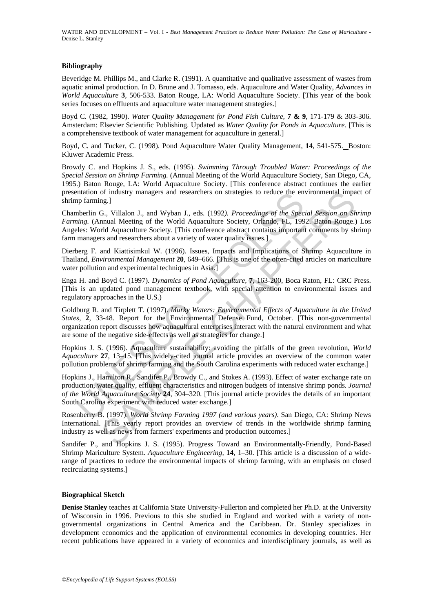WATER AND DEVELOPMENT – Vol. I - *Best Management Practices to Reduce Water Pollution: The Case of Mariculture* - Denise L. Stanley

#### **Bibliography**

Beveridge M. Phillips M., and Clarke R. (1991). A quantitative and qualitative assessment of wastes from aquatic animal production. In D. Brune and J. Tomasso, eds. Aquaculture and Water Quality, *Advances in World Aquaculture* **3***,* 506-533. Baton Rouge, LA: World Aquaculture Society. [This year of the book series focuses on effluents and aquaculture water management strategies.]

Boyd C. (1982, 1990). *Water Quality Management for Pond Fish Culture,* **7 & 9**, 171-179 & 303-306. Amsterdam: Elsevier Scientific Publishing. Updated as *Water Quality for Ponds in Aquaculture.* [This is a comprehensive textbook of water management for aquaculture in general.]

Boyd, C. and Tucker, C. (1998). Pond Aquaculture Water Quality Management, **14**, 541-575. Boston: Kluwer Academic Press.

Browdy C. and Hopkins J. S., eds. (1995). *Swimming Through Troubled Water: Proceedings of the Special Session on Shrimp Farming.* (Annual Meeting of the World Aquaculture Society, San Diego, CA, 1995.) Baton Rouge, LA: World Aquaculture Society. [This conference abstract continues the earlier presentation of industry managers and researchers on strategies to reduce the environmental impact of shrimp farming.]

Chamberlin G., Villalon J., and Wyban J., eds. (1992*). Proceedings of the Special Session on Shrimp Farming.* (Annual Meeting of the World Aquaculture Society, Orlando, FL, 1992. Baton Rouge.) Los Angeles: World Aquaculture Society. [This conference abstract contains important comments by shrimp farm managers and researchers about a variety of water quality issues.]

Dierberg F. and Kiattisimkul W. (1996). Issues, Impacts and Implications of Shrimp Aquaculture in Thailand, *Environmental Management* **20**, 649–666. [This is one of the often-cited articles on mariculture water pollution and experimental techniques in Asia.]

Enga H. and Boyd C. (1997). *Dynamics of Pond Aquaculture,* **7***,* 163-200, Boca Raton, FL: CRC Press. [This is an updated pond management textbook, with special attention to environmental issues and regulatory approaches in the U.S.)

entation of molustry managers and researchers on strategies to reduce the en<br>mparaming. C, Villalon J., and Wyban J., eds. (1992). *Proceedings of the Specing.* (Annual Meeting of the World Aquaculture Society, Orlando, F of industry managers and researchers on strategies to reduce the environmental impage.<br>
G., Villalon J., and Wyban J., eds. (1992). *Proceedings of the Special Session on Sh*<br>
mual Meeting of the World Aquaculture Society. Goldburg R. and Tirplett T. (1997). *Murky Waters: Environmental Effects of Aquaculture in the United States*, **2**, 33-48. Report for the Environmental Defense Fund, October. [This non-governmental organization report discusses how aquacultural enterprises interact with the natural environment and what are some of the negative side-effects as well as strategies for change.]

Hopkins J. S. (1996). Aquaculture sustainability: avoiding the pitfalls of the green revolution*, World Aquaculture* **27**, 13–15. [This widely-cited journal article provides an overview of the common water pollution problems of shrimp farming and the South Carolina experiments with reduced water exchange.]

Hopkins J., Hamilton R., Sandifer P., Browdy C., and Stokes A. (1993). Effect of water exchange rate on production, water quality, effluent characteristics and nitrogen budgets of intensive shrimp ponds*. Journal of the World Aquaculture Society* **24**, 304–320. [This journal article provides the details of an important South Carolina experiment with reduced water exchange.]

Rosenberry B. (1997). *World Shrimp Farming 1997 (and various years)*. San Diego, CA: Shrimp News International. [This yearly report provides an overview of trends in the worldwide shrimp farming industry as well as news from farmers' experiments and production outcomes.]

Sandifer P., and Hopkins J. S. (1995). Progress Toward an Environmentally-Friendly, Pond-Based Shrimp Mariculture System. *Aquaculture Engineering,* **14**, 1–30. [This article is a discussion of a widerange of practices to reduce the environmental impacts of shrimp farming, with an emphasis on closed recirculating systems.]

#### **Biographical Sketch**

**Denise Stanley** teaches at California State University-Fullerton and completed her Ph.D. at the University of Wisconsin in 1996. Previous to this she studied in England and worked with a variety of nongovernmental organizations in Central America and the Caribbean. Dr. Stanley specializes in development economics and the application of environmental economics in developing countries. Her recent publications have appeared in a variety of economics and interdisciplinary journals, as well as